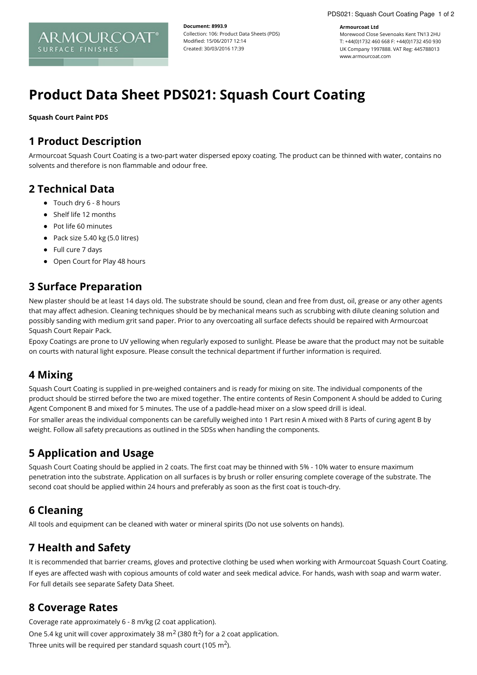#### **Armourcoat Ltd**

Morewood Close Sevenoaks Kent TN13 2HU T: +44(0)1732 460 668 F: +44(0)1732 450 930 UK Company 1997888. VAT Reg: 445788013 www.armourcoat.com

# **Product Data Sheet PDS021: Squash Court Coating**

**Document: 8993.9**

Modified: 15/06/2017 12:14 Created: 30/03/2016 17:39

Collection: 106: Product Data Sheets (PDS)

**Squash Court Paint PDS**

### **1 Product Description**

ARMOURCOAT

**SURFACE FINISHES** 

Armourcoat Squash Court Coating is a two-part water dispersed epoxy coating. The product can be thinned with water, contains no solvents and therefore is non flammable and odour free.

#### **2 Technical Data**

- Touch dry 6 8 hours
- Shelf life 12 months
- Pot life 60 minutes
- Pack size  $5.40$  kg ( $5.0$  litres)
- Full cure 7 days
- Open Court for Play 48 hours

# **3 Surface Preparation**

New plaster should be at least 14 days old. The substrate should be sound, clean and free from dust, oil, grease or any other agents that may affect adhesion. Cleaning techniques should be by mechanical means such as scrubbing with dilute cleaning solution and possibly sanding with medium grit sand paper. Prior to any overcoating all surface defects should be repaired with Armourcoat Squash Court Repair Pack.

Epoxy Coatings are prone to UV yellowing when regularly exposed to sunlight. Please be aware that the product may not be suitable on courts with natural light exposure. Please consult the technical department if further information is required.

#### **4 Mixing**

Squash Court Coating is supplied in pre-weighed containers and is ready for mixing on site. The individual components of the product should be stirred before the two are mixed together. The entire contents of Resin Component A should be added to Curing Agent Component B and mixed for 5 minutes. The use of a paddle-head mixer on a slow speed drill is ideal.

For smaller areas the individual components can be carefully weighed into 1 Part resin A mixed with 8 Parts of curing agent B by weight. Follow all safety precautions as outlined in the SDSs when handling the components.

# **5 Application and Usage**

Squash Court Coating should be applied in 2 coats. The first coat may be thinned with 5% - 10% water to ensure maximum penetration into the substrate. Application on all surfaces is by brush or roller ensuring complete coverage of the substrate. The second coat should be applied within 24 hours and preferably as soon as the first coat is touch-dry.

#### **6 Cleaning**

All tools and equipment can be cleaned with water or mineral spirits (Do not use solvents on hands).

# **7 Health and Safety**

It is recommended that barrier creams, gloves and protective clothing be used when working with Armourcoat Squash Court Coating. If eyes are affected wash with copious amounts of cold water and seek medical advice. For hands, wash with soap and warm water. For full details see separate Safety Data Sheet.

#### **8 Coverage Rates**

Coverage rate approximately 6 - 8 m/kg (2 coat application). One 5.4 kg unit will cover approximately 38 m<sup>2</sup> (380 ft<sup>2</sup>) for a 2 coat application. Three units will be required per standard squash court (105 m<sup>2</sup>).